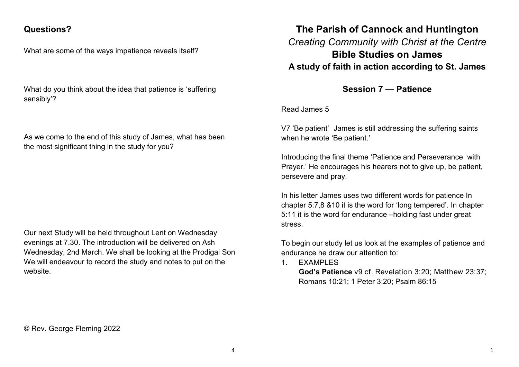## **Questions?**

What are some of the ways impatience reveals itself?

What do you think about the idea that patience is 'suffering sensibly'?

As we come to the end of this study of James, what has been the most significant thing in the study for you?

Our next Study will be held throughout Lent on Wednesday evenings at 7.30. The introduction will be delivered on Ash Wednesday, 2nd March. We shall be looking at the Prodigal Son We will endeavour to record the study and notes to put on the website.

## **The Parish of Cannock and Huntington** *Creating Community with Christ at the Centre* **Bible Studies on James A study of faith in action according to St. James**

**Session 7 — Patience**

Read James 5

V7 'Be patient' James is still addressing the suffering saints when he wrote 'Be patient.'

Introducing the final theme 'Patience and Perseverance with Prayer.' He encourages his hearers not to give up, be patient, persevere and pray.

In his letter James uses two different words for patience In chapter 5:7,8 &10 it is the word for 'long tempered'. In chapter 5:11 it is the word for endurance –holding fast under great stress.

To begin our study let us look at the examples of patience and endurance he draw our attention to:

1. EXAMPLES

**God's Patience** v9 cf. Revelation 3:20; Matthew 23:37; Romans 10:21; 1 Peter 3:20; Psalm 86:15